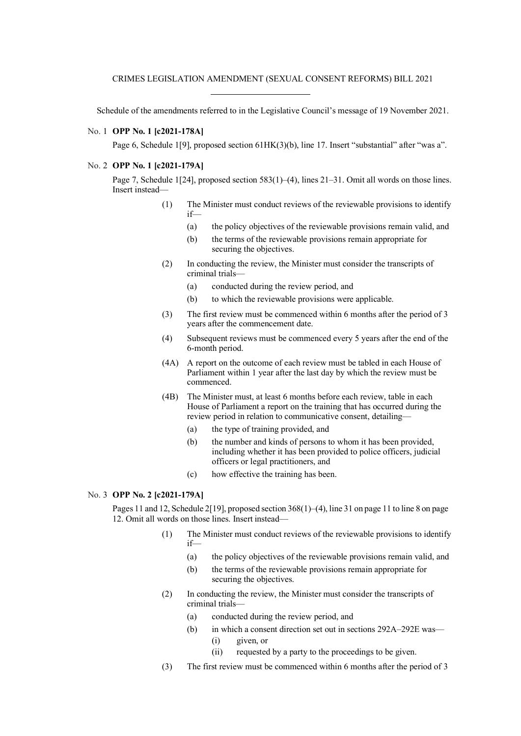Schedule of the amendments referred to in the Legislative Council's message of 19 November 2021.

## No. 1 **OPP No. 1 [c2021-178A]**

Page 6, Schedule 1[9], proposed section 61HK(3)(b), line 17. Insert "substantial" after "was a".

## No. 2 **OPP No. 1 [c2021-179A]**

Page 7, Schedule 1[24], proposed section 583(1)–(4), lines 21–31. Omit all words on those lines. Insert instead—

- (1) The Minister must conduct reviews of the reviewable provisions to identify if—
	- (a) the policy objectives of the reviewable provisions remain valid, and
	- (b) the terms of the reviewable provisions remain appropriate for securing the objectives.
- (2) In conducting the review, the Minister must consider the transcripts of criminal trials—
	- (a) conducted during the review period, and
	- (b) to which the reviewable provisions were applicable.
- (3) The first review must be commenced within 6 months after the period of 3 years after the commencement date.
- (4) Subsequent reviews must be commenced every 5 years after the end of the 6-month period.
- (4A) A report on the outcome of each review must be tabled in each House of Parliament within 1 year after the last day by which the review must be commenced.
- (4B) The Minister must, at least 6 months before each review, table in each House of Parliament a report on the training that has occurred during the review period in relation to communicative consent, detailing—
	- (a) the type of training provided, and
	- (b) the number and kinds of persons to whom it has been provided, including whether it has been provided to police officers, judicial officers or legal practitioners, and
	- (c) how effective the training has been.

## No. 3 **OPP No. 2 [c2021-179A]**

Pages 11 and 12, Schedule 2[19], proposed section 368(1)–(4), line 31 on page 11 to line 8 on page 12. Omit all words on those lines. Insert instead—

- (1) The Minister must conduct reviews of the reviewable provisions to identify if—
	- (a) the policy objectives of the reviewable provisions remain valid, and
	- (b) the terms of the reviewable provisions remain appropriate for securing the objectives.
- (2) In conducting the review, the Minister must consider the transcripts of criminal trials—
	- (a) conducted during the review period, and
	- (b) in which a consent direction set out in sections 292A–292E was— (i) given, or
		- (ii) requested by a party to the proceedings to be given.
- (3) The first review must be commenced within 6 months after the period of 3